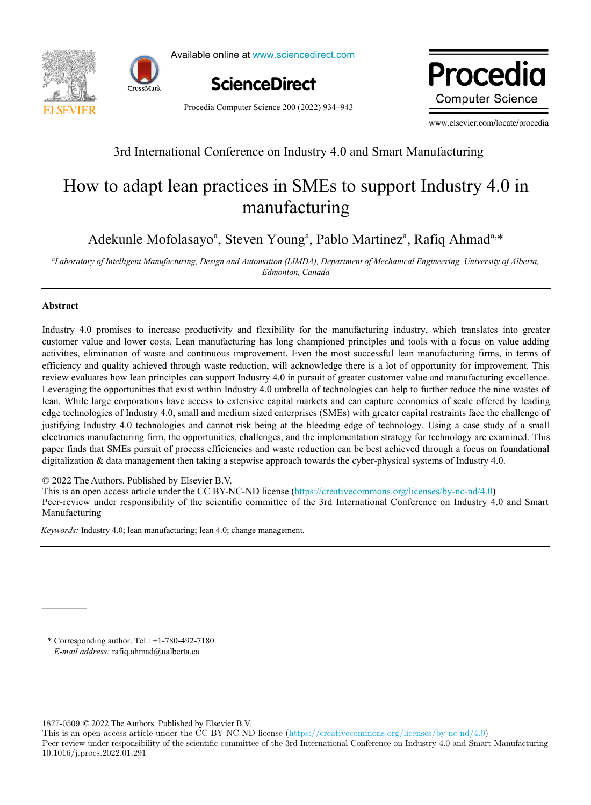



Available online at www.sciencedirect.com



Procedia Computer Science 200 (2022) 934–943

www.elsevier.com **Computer Science** 

www.elsevier.com/locate/procedia

# 3rd International Conference on Industry 4.0 and Smart Manufacturing

# How to adapt lean practices in SMEs to support Industry 4.0 in How to adapt lean practices in SMEs to support Industry 4.0 in manufacturing manufacturing

Adekunle Mofolasayo<sup>a</sup>, Steven Young<sup>a</sup>, Pablo Martinez<sup>a</sup>, Rafiq Ahmad<sup>a,\*</sup>

"Laboratory of Intelligent Manufacturing, Design and Automation (LIMDA), Department of Mechanical Engineering, University of Alberta, *Edmonton, Canada Edmonton, Canada*

## **Abstract Abstract**

Industry 4.0 promises to increase productivity and flexibility for the manufacturing industry, which translates into greater customer value and lower costs. Lean manufacturing has long championed principles and tools with a focus on value adding activities, elimination of waste and continuous improvement. Even the most successful lean manufacturing firms, in terms of efficiency and quality achieved through waste reduction, will acknowledge there is a lot of opportunity for improvement. This review evaluates how lean principles can support Industry 4.0 in pursuit of greater customer value and manufacturing excellence. Leveraging the opportunities that exist within Industry 4.0 umbrella of technologies can help to further reduce the nine wastes of lean. While large corporations have access to extensive capital markets and can capture economies of scale offered by leading edge technologies of Industry 4.0, small and medium sized enterprises (SMEs) with greater capital restraints face the challenge of justifying Industry 4.0 technologies and cannot risk being at the bleeding edge of technology. Using a case study of a small electronics manufacturing firm, the opportunities, challenges, and the implementation strategy for technology are examined. This paper finds that SMEs pursuit of process efficiencies and waste reduction can be best achieved through a focus on foundational digitalization  $\&$  data management then taking a stepwise approach towards the cyber-physical systems of Industry 4.0.

 $\degree$  2022 The Authors. Published by Elsevier B.V.

This is an open access article under the CC BY-NC-ND license (https://creativecommons.org/licenses/by-nc-nd/4.0)

Peer-review under responsibility of the scientific committee of the 3rd International Conference on Industry 4.0 and Smart<br>Manifesturing Manufacturing Manufacturing Manufacturing

*Keywords:* Industry 4.0; lean manufacturing; lean 4.0; change management. *Keywords:* Industry 4.0; lean manufacturing; lean 4.0; change management.

\* Corresponding author. Tel.: +1-780-492-7180. \* Corresponding author. Tel.: +1-780-492-7180. *E-mail address:* rafiq.ahmad@ualberta.ca *E-mail address:* rafiq.ahmad@ualberta.ca

1877-0509 © 2022 The Authors. Published by Elsevier B.V.

This is an open access article under the CC BY-NC-ND license (https://creativecommons.org/licenses/by-nc-nd/4.0) Peer-review under responsibility of the scientific committee of the 3rd International Conference on Industry 4.0 and Smart Manufacturing 10.1016/j.procs.2022.01.291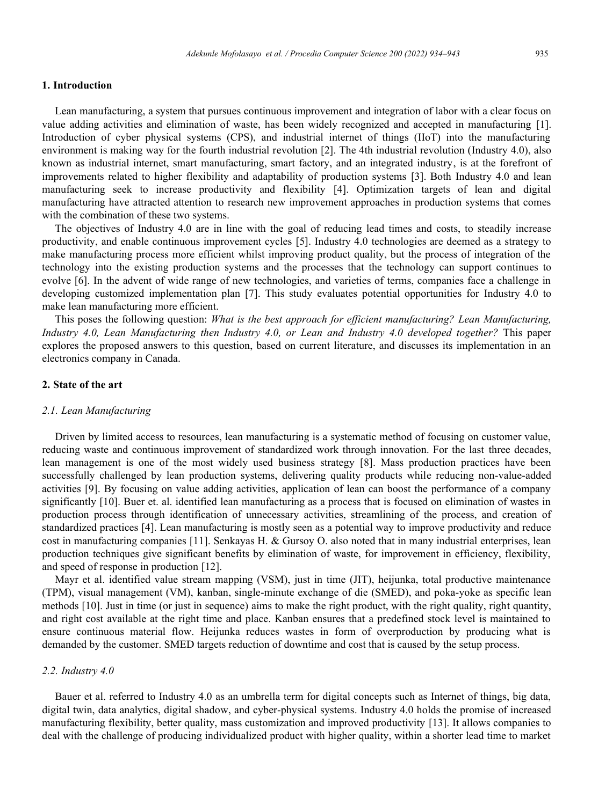#### **1. Introduction**

Lean manufacturing, a system that pursues continuous improvement and integration of labor with a clear focus on value adding activities and elimination of waste, has been widely recognized and accepted in manufacturing [1]. Introduction of cyber physical systems (CPS), and industrial internet of things (IIoT) into the manufacturing environment is making way for the fourth industrial revolution [2]. The 4th industrial revolution (Industry 4.0), also known as industrial internet, smart manufacturing, smart factory, and an integrated industry, is at the forefront of improvements related to higher flexibility and adaptability of production systems [3]. Both Industry 4.0 and lean manufacturing seek to increase productivity and flexibility [4]. Optimization targets of lean and digital manufacturing have attracted attention to research new improvement approaches in production systems that comes with the combination of these two systems.

The objectives of Industry 4.0 are in line with the goal of reducing lead times and costs, to steadily increase productivity, and enable continuous improvement cycles [5]. Industry 4.0 technologies are deemed as a strategy to make manufacturing process more efficient whilst improving product quality, but the process of integration of the technology into the existing production systems and the processes that the technology can support continues to evolve [6]. In the advent of wide range of new technologies, and varieties of terms, companies face a challenge in developing customized implementation plan [7]. This study evaluates potential opportunities for Industry 4.0 to make lean manufacturing more efficient.

This poses the following question: *What is the best approach for efficient manufacturing? Lean Manufacturing, Industry 4.0, Lean Manufacturing then Industry 4.0, or Lean and Industry 4.0 developed together?* This paper explores the proposed answers to this question, based on current literature, and discusses its implementation in an electronics company in Canada.

#### **2. State of the art**

#### *2.1. Lean Manufacturing*

Driven by limited access to resources, lean manufacturing is a systematic method of focusing on customer value, reducing waste and continuous improvement of standardized work through innovation. For the last three decades, lean management is one of the most widely used business strategy [8]. Mass production practices have been successfully challenged by lean production systems, delivering quality products while reducing non-value-added activities [9]. By focusing on value adding activities, application of lean can boost the performance of a company significantly [10]. Buer et. al. identified lean manufacturing as a process that is focused on elimination of wastes in production process through identification of unnecessary activities, streamlining of the process, and creation of standardized practices [4]. Lean manufacturing is mostly seen as a potential way to improve productivity and reduce cost in manufacturing companies [11]. Senkayas H. & Gursoy O. also noted that in many industrial enterprises, lean production techniques give significant benefits by elimination of waste, for improvement in efficiency, flexibility, and speed of response in production [12].

Mayr et al. identified value stream mapping (VSM), just in time (JIT), heijunka, total productive maintenance (TPM), visual management (VM), kanban, single-minute exchange of die (SMED), and poka-yoke as specific lean methods [10]. Just in time (or just in sequence) aims to make the right product, with the right quality, right quantity, and right cost available at the right time and place. Kanban ensures that a predefined stock level is maintained to ensure continuous material flow. Heijunka reduces wastes in form of overproduction by producing what is demanded by the customer. SMED targets reduction of downtime and cost that is caused by the setup process.

#### *2.2. Industry 4.0*

Bauer et al. referred to Industry 4.0 as an umbrella term for digital concepts such as Internet of things, big data, digital twin, data analytics, digital shadow, and cyber-physical systems. Industry 4.0 holds the promise of increased manufacturing flexibility, better quality, mass customization and improved productivity [13]. It allows companies to deal with the challenge of producing individualized product with higher quality, within a shorter lead time to market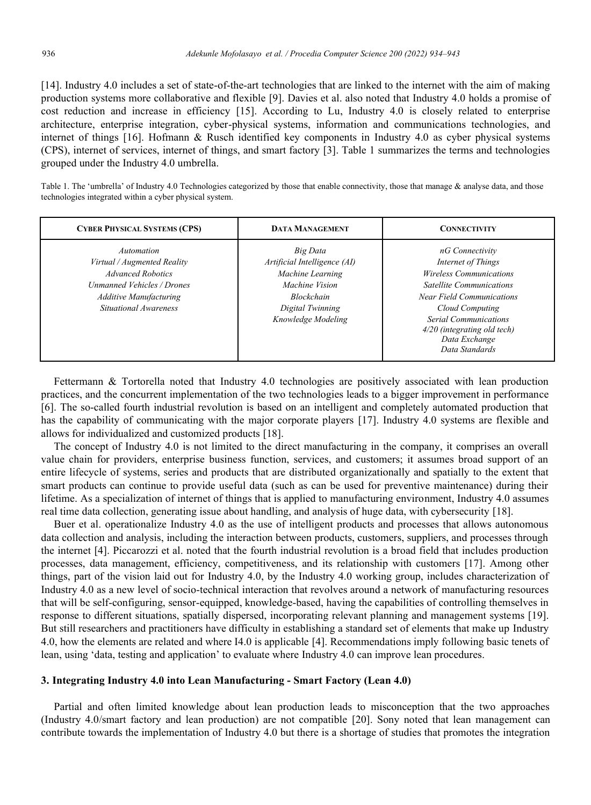[14]. Industry 4.0 includes a set of state-of-the-art technologies that are linked to the internet with the aim of making production systems more collaborative and flexible [9]. Davies et al. also noted that Industry 4.0 holds a promise of cost reduction and increase in efficiency [15]. According to Lu, Industry 4.0 is closely related to enterprise architecture, enterprise integration, cyber-physical systems, information and communications technologies, and internet of things [16]. Hofmann & Rusch identified key components in Industry 4.0 as cyber physical systems (CPS), internet of services, internet of things, and smart factory [3]. Table 1 summarizes the terms and technologies grouped under the Industry 4.0 umbrella.

Table 1. The 'umbrella' of Industry 4.0 Technologies categorized by those that enable connectivity, those that manage & analyse data, and those technologies integrated within a cyber physical system.

| <b>CYBER PHYSICAL SYSTEMS (CPS)</b>                                                                                                                           | <b>DATA MANAGEMENT</b>                                                                                                                        | <b>CONNECTIVITY</b>                                                                                                                                                                                                                                                 |  |  |
|---------------------------------------------------------------------------------------------------------------------------------------------------------------|-----------------------------------------------------------------------------------------------------------------------------------------------|---------------------------------------------------------------------------------------------------------------------------------------------------------------------------------------------------------------------------------------------------------------------|--|--|
| Automation<br>Virtual / Augmented Reality<br><b>Advanced Robotics</b><br>Unmanned Vehicles / Drones<br><b>Additive Manufacturing</b><br>Situational Awareness | Big Data<br>Artificial Intelligence (AI)<br>Machine Learning<br>Machine Vision<br><b>Blockchain</b><br>Digital Twinning<br>Knowledge Modeling | nG Connectivity<br>Internet of Things<br><b>Wireless Communications</b><br><b>Satellite Communications</b><br><b>Near Field Communications</b><br>Cloud Computing<br><b>Serial Communications</b><br>4/20 (integrating old tech)<br>Data Exchange<br>Data Standards |  |  |

Fettermann & Tortorella noted that Industry 4.0 technologies are positively associated with lean production practices, and the concurrent implementation of the two technologies leads to a bigger improvement in performance [6]. The so-called fourth industrial revolution is based on an intelligent and completely automated production that has the capability of communicating with the major corporate players [17]. Industry 4.0 systems are flexible and allows for individualized and customized products [18].

The concept of Industry 4.0 is not limited to the direct manufacturing in the company, it comprises an overall value chain for providers, enterprise business function, services, and customers; it assumes broad support of an entire lifecycle of systems, series and products that are distributed organizationally and spatially to the extent that smart products can continue to provide useful data (such as can be used for preventive maintenance) during their lifetime. As a specialization of internet of things that is applied to manufacturing environment, Industry 4.0 assumes real time data collection, generating issue about handling, and analysis of huge data, with cybersecurity [18].

Buer et al. operationalize Industry 4.0 as the use of intelligent products and processes that allows autonomous data collection and analysis, including the interaction between products, customers, suppliers, and processes through the internet [4]. Piccarozzi et al. noted that the fourth industrial revolution is a broad field that includes production processes, data management, efficiency, competitiveness, and its relationship with customers [17]. Among other things, part of the vision laid out for Industry 4.0, by the Industry 4.0 working group, includes characterization of Industry 4.0 as a new level of socio-technical interaction that revolves around a network of manufacturing resources that will be self-configuring, sensor-equipped, knowledge-based, having the capabilities of controlling themselves in response to different situations, spatially dispersed, incorporating relevant planning and management systems [19]. But still researchers and practitioners have difficulty in establishing a standard set of elements that make up Industry 4.0, how the elements are related and where I4.0 is applicable [4]. Recommendations imply following basic tenets of lean, using 'data, testing and application' to evaluate where Industry 4.0 can improve lean procedures.

#### **3. Integrating Industry 4.0 into Lean Manufacturing - Smart Factory (Lean 4.0)**

Partial and often limited knowledge about lean production leads to misconception that the two approaches (Industry 4.0/smart factory and lean production) are not compatible [20]. Sony noted that lean management can contribute towards the implementation of Industry 4.0 but there is a shortage of studies that promotes the integration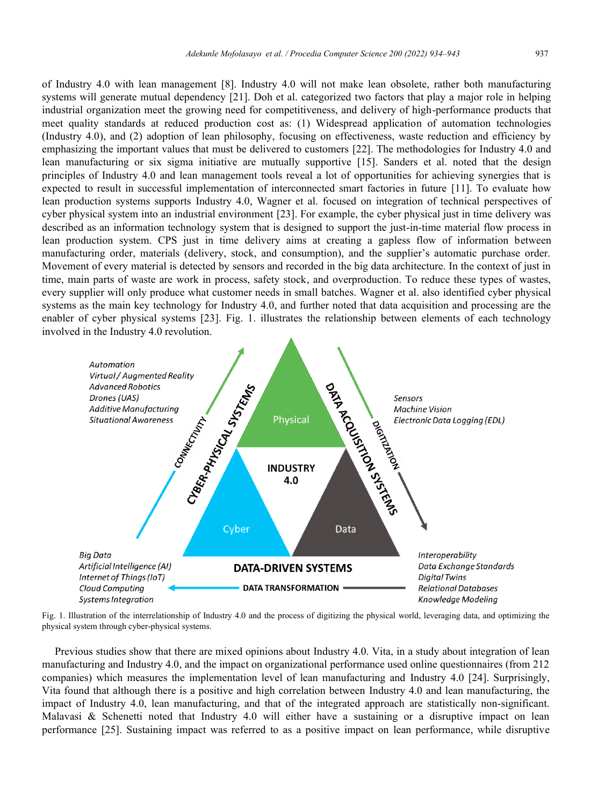of Industry 4.0 with lean management [8]. Industry 4.0 will not make lean obsolete, rather both manufacturing systems will generate mutual dependency [21]. Doh et al. categorized two factors that play a major role in helping industrial organization meet the growing need for competitiveness, and delivery of high-performance products that meet quality standards at reduced production cost as: (1) Widespread application of automation technologies (Industry 4.0), and (2) adoption of lean philosophy, focusing on effectiveness, waste reduction and efficiency by emphasizing the important values that must be delivered to customers [22]. The methodologies for Industry 4.0 and lean manufacturing or six sigma initiative are mutually supportive [15]. Sanders et al. noted that the design principles of Industry 4.0 and lean management tools reveal a lot of opportunities for achieving synergies that is expected to result in successful implementation of interconnected smart factories in future [11]. To evaluate how lean production systems supports Industry 4.0, Wagner et al. focused on integration of technical perspectives of cyber physical system into an industrial environment [23]. For example, the cyber physical just in time delivery was described as an information technology system that is designed to support the just-in-time material flow process in lean production system. CPS just in time delivery aims at creating a gapless flow of information between manufacturing order, materials (delivery, stock, and consumption), and the supplier's automatic purchase order. Movement of every material is detected by sensors and recorded in the big data architecture. In the context of just in time, main parts of waste are work in process, safety stock, and overproduction. To reduce these types of wastes, every supplier will only produce what customer needs in small batches. Wagner et al. also identified cyber physical systems as the main key technology for Industry 4.0, and further noted that data acquisition and processing are the enabler of cyber physical systems [23]. Fig. 1. illustrates the relationship between elements of each technology involved in the Industry 4.0 revolution.



Fig. 1. Illustration of the interrelationship of Industry 4.0 and the process of digitizing the physical world, leveraging data, and optimizing the physical system through cyber-physical systems.

Previous studies show that there are mixed opinions about Industry 4.0. Vita, in a study about integration of lean manufacturing and Industry 4.0, and the impact on organizational performance used online questionnaires (from 212 companies) which measures the implementation level of lean manufacturing and Industry 4.0 [24]. Surprisingly, Vita found that although there is a positive and high correlation between Industry 4.0 and lean manufacturing, the impact of Industry 4.0, lean manufacturing, and that of the integrated approach are statistically non-significant. Malavasi & Schenetti noted that Industry 4.0 will either have a sustaining or a disruptive impact on lean performance [25]. Sustaining impact was referred to as a positive impact on lean performance, while disruptive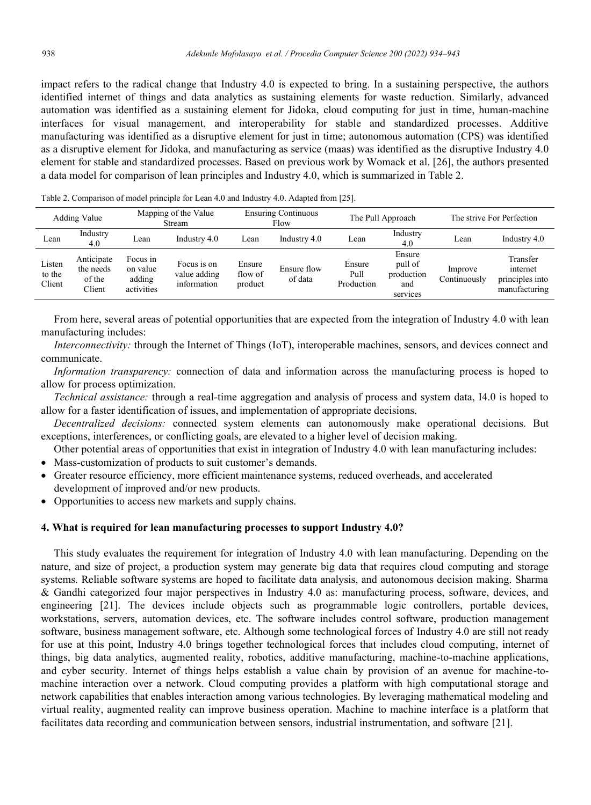impact refers to the radical change that Industry 4.0 is expected to bring. In a sustaining perspective, the authors identified internet of things and data analytics as sustaining elements for waste reduction. Similarly, advanced automation was identified as a sustaining element for Jidoka, cloud computing for just in time, human-machine interfaces for visual management, and interoperability for stable and standardized processes. Additive manufacturing was identified as a disruptive element for just in time; autonomous automation (CPS) was identified as a disruptive element for Jidoka, and manufacturing as service (maas) was identified as the disruptive Industry 4.0 element for stable and standardized processes. Based on previous work by Womack et al. [26], the authors presented a data model for comparison of lean principles and Industry 4.0, which is summarized in Table 2.

|                            | Mapping of the Value<br>Adding Value<br>Stream |                                              | <b>Ensuring Continuous</b><br>Flow         |                              | The Pull Approach      |                              | The strive For Perfection                          |                         |                                                          |
|----------------------------|------------------------------------------------|----------------------------------------------|--------------------------------------------|------------------------------|------------------------|------------------------------|----------------------------------------------------|-------------------------|----------------------------------------------------------|
| Lean                       | Industry<br>4.0                                | ∟ean                                         | Industry 4.0                               | Lean                         | Industry 4.0           | Lean                         | Industry<br>4.0                                    | Lean                    | Industry 4.0                                             |
| Listen<br>to the<br>Client | Anticipate<br>the needs<br>of the<br>Client    | Focus in<br>on value<br>adding<br>activities | Focus is on<br>value adding<br>information | Ensure<br>flow of<br>product | Ensure flow<br>of data | Ensure<br>Pull<br>Production | Ensure<br>pull of<br>production<br>and<br>services | Improve<br>Continuously | Transfer<br>internet<br>principles into<br>manufacturing |

Table 2. Comparison of model principle for Lean 4.0 and Industry 4.0. Adapted from [25].

From here, several areas of potential opportunities that are expected from the integration of Industry 4.0 with lean manufacturing includes:

*Interconnectivity:* through the Internet of Things (IoT), interoperable machines, sensors, and devices connect and communicate.

*Information transparency:* connection of data and information across the manufacturing process is hoped to allow for process optimization.

*Technical assistance:* through a real-time aggregation and analysis of process and system data, I4.0 is hoped to allow for a faster identification of issues, and implementation of appropriate decisions.

*Decentralized decisions:* connected system elements can autonomously make operational decisions. But exceptions, interferences, or conflicting goals, are elevated to a higher level of decision making.

Other potential areas of opportunities that exist in integration of Industry 4.0 with lean manufacturing includes:

- Mass-customization of products to suit customer's demands.
- Greater resource efficiency, more efficient maintenance systems, reduced overheads, and accelerated development of improved and/or new products.
- Opportunities to access new markets and supply chains.

#### **4. What is required for lean manufacturing processes to support Industry 4.0?**

This study evaluates the requirement for integration of Industry 4.0 with lean manufacturing. Depending on the nature, and size of project, a production system may generate big data that requires cloud computing and storage systems. Reliable software systems are hoped to facilitate data analysis, and autonomous decision making. Sharma & Gandhi categorized four major perspectives in Industry 4.0 as: manufacturing process, software, devices, and engineering [21]. The devices include objects such as programmable logic controllers, portable devices, workstations, servers, automation devices, etc. The software includes control software, production management software, business management software, etc. Although some technological forces of Industry 4.0 are still not ready for use at this point, Industry 4.0 brings together technological forces that includes cloud computing, internet of things, big data analytics, augmented reality, robotics, additive manufacturing, machine-to-machine applications, and cyber security. Internet of things helps establish a value chain by provision of an avenue for machine-tomachine interaction over a network. Cloud computing provides a platform with high computational storage and network capabilities that enables interaction among various technologies. By leveraging mathematical modeling and virtual reality, augmented reality can improve business operation. Machine to machine interface is a platform that facilitates data recording and communication between sensors, industrial instrumentation, and software [21].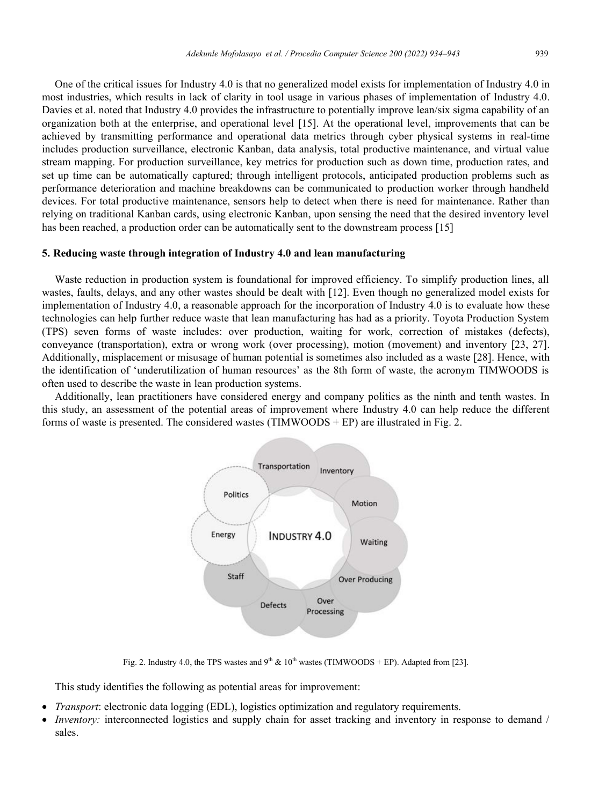One of the critical issues for Industry 4.0 is that no generalized model exists for implementation of Industry 4.0 in most industries, which results in lack of clarity in tool usage in various phases of implementation of Industry 4.0. Davies et al. noted that Industry 4.0 provides the infrastructure to potentially improve lean/six sigma capability of an organization both at the enterprise, and operational level [15]. At the operational level, improvements that can be achieved by transmitting performance and operational data metrics through cyber physical systems in real-time includes production surveillance, electronic Kanban, data analysis, total productive maintenance, and virtual value stream mapping. For production surveillance, key metrics for production such as down time, production rates, and set up time can be automatically captured; through intelligent protocols, anticipated production problems such as performance deterioration and machine breakdowns can be communicated to production worker through handheld devices. For total productive maintenance, sensors help to detect when there is need for maintenance. Rather than relying on traditional Kanban cards, using electronic Kanban, upon sensing the need that the desired inventory level has been reached, a production order can be automatically sent to the downstream process [15]

#### **5. Reducing waste through integration of Industry 4.0 and lean manufacturing**

Waste reduction in production system is foundational for improved efficiency. To simplify production lines, all wastes, faults, delays, and any other wastes should be dealt with [12]. Even though no generalized model exists for implementation of Industry 4.0, a reasonable approach for the incorporation of Industry 4.0 is to evaluate how these technologies can help further reduce waste that lean manufacturing has had as a priority. Toyota Production System (TPS) seven forms of waste includes: over production, waiting for work, correction of mistakes (defects), conveyance (transportation), extra or wrong work (over processing), motion (movement) and inventory [23, 27]. Additionally, misplacement or misusage of human potential is sometimes also included as a waste [28]. Hence, with the identification of 'underutilization of human resources' as the 8th form of waste, the acronym TIMWOODS is often used to describe the waste in lean production systems.

Additionally, lean practitioners have considered energy and company politics as the ninth and tenth wastes. In this study, an assessment of the potential areas of improvement where Industry 4.0 can help reduce the different forms of waste is presented. The considered wastes (TIMWOODS + EP) are illustrated in Fig. 2.



Fig. 2. Industry 4.0, the TPS wastes and 9<sup>th</sup>  $\&$  10<sup>th</sup> wastes (TIMWOODS + EP). Adapted from [23].

This study identifies the following as potential areas for improvement:

- *Transport*: electronic data logging (EDL), logistics optimization and regulatory requirements.
- *Inventory:* interconnected logistics and supply chain for asset tracking and inventory in response to demand / sales.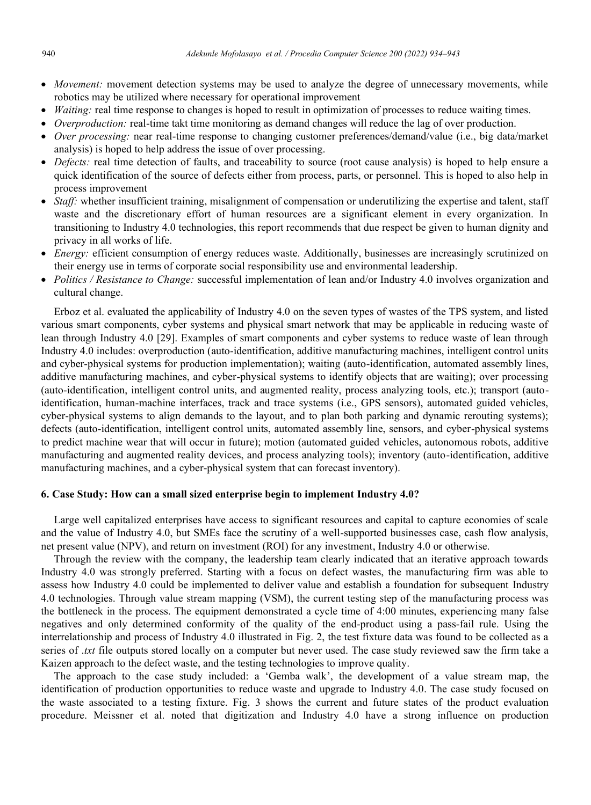- *Movement:* movement detection systems may be used to analyze the degree of unnecessary movements, while robotics may be utilized where necessary for operational improvement
- *Waiting:* real time response to changes is hoped to result in optimization of processes to reduce waiting times.
- *Overproduction:* real-time takt time monitoring as demand changes will reduce the lag of over production.
- *Over processing:* near real-time response to changing customer preferences/demand/value (i.e., big data/market analysis) is hoped to help address the issue of over processing.
- *Defects:* real time detection of faults, and traceability to source (root cause analysis) is hoped to help ensure a quick identification of the source of defects either from process, parts, or personnel. This is hoped to also help in process improvement
- *Staff:* whether insufficient training, misalignment of compensation or underutilizing the expertise and talent, staff waste and the discretionary effort of human resources are a significant element in every organization. In transitioning to Industry 4.0 technologies, this report recommends that due respect be given to human dignity and privacy in all works of life.
- *Energy:* efficient consumption of energy reduces waste. Additionally, businesses are increasingly scrutinized on their energy use in terms of corporate social responsibility use and environmental leadership.
- *Politics / Resistance to Change:* successful implementation of lean and/or Industry 4.0 involves organization and cultural change.

Erboz et al. evaluated the applicability of Industry 4.0 on the seven types of wastes of the TPS system, and listed various smart components, cyber systems and physical smart network that may be applicable in reducing waste of lean through Industry 4.0 [29]. Examples of smart components and cyber systems to reduce waste of lean through Industry 4.0 includes: overproduction (auto-identification, additive manufacturing machines, intelligent control units and cyber-physical systems for production implementation); waiting (auto-identification, automated assembly lines, additive manufacturing machines, and cyber-physical systems to identify objects that are waiting); over processing (auto-identification, intelligent control units, and augmented reality, process analyzing tools, etc.); transport (autoidentification, human-machine interfaces, track and trace systems (i.e., GPS sensors), automated guided vehicles, cyber-physical systems to align demands to the layout, and to plan both parking and dynamic rerouting systems); defects (auto-identification, intelligent control units, automated assembly line, sensors, and cyber-physical systems to predict machine wear that will occur in future); motion (automated guided vehicles, autonomous robots, additive manufacturing and augmented reality devices, and process analyzing tools); inventory (auto-identification, additive manufacturing machines, and a cyber-physical system that can forecast inventory).

## **6. Case Study: How can a small sized enterprise begin to implement Industry 4.0?**

Large well capitalized enterprises have access to significant resources and capital to capture economies of scale and the value of Industry 4.0, but SMEs face the scrutiny of a well-supported businesses case, cash flow analysis, net present value (NPV), and return on investment (ROI) for any investment, Industry 4.0 or otherwise.

Through the review with the company, the leadership team clearly indicated that an iterative approach towards Industry 4.0 was strongly preferred. Starting with a focus on defect wastes, the manufacturing firm was able to assess how Industry 4.0 could be implemented to deliver value and establish a foundation for subsequent Industry 4.0 technologies. Through value stream mapping (VSM), the current testing step of the manufacturing process was the bottleneck in the process. The equipment demonstrated a cycle time of 4:00 minutes, experiencing many false negatives and only determined conformity of the quality of the end-product using a pass-fail rule. Using the interrelationship and process of Industry 4.0 illustrated in Fig. 2, the test fixture data was found to be collected as a series of .*txt* file outputs stored locally on a computer but never used. The case study reviewed saw the firm take a Kaizen approach to the defect waste, and the testing technologies to improve quality.

The approach to the case study included: a 'Gemba walk', the development of a value stream map, the identification of production opportunities to reduce waste and upgrade to Industry 4.0. The case study focused on the waste associated to a testing fixture. Fig. 3 shows the current and future states of the product evaluation procedure. Meissner et al. noted that digitization and Industry 4.0 have a strong influence on production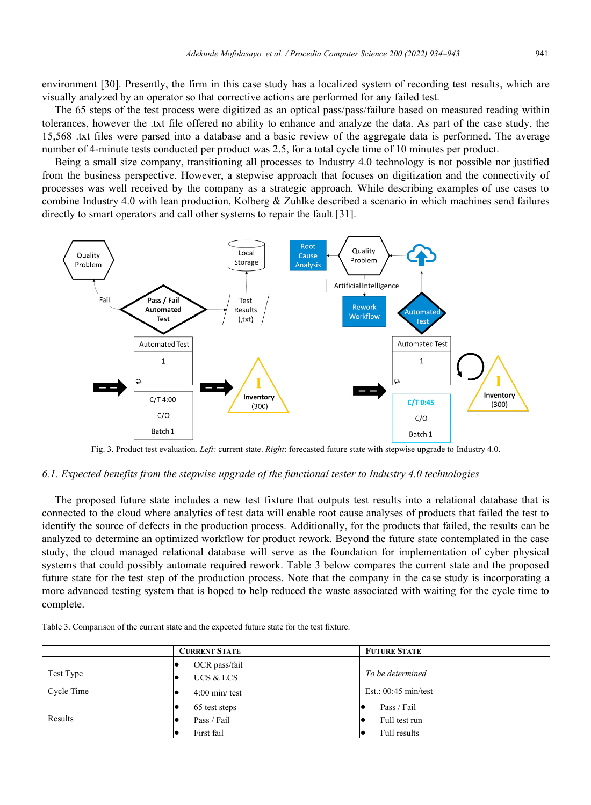environment [30]. Presently, the firm in this case study has a localized system of recording test results, which are visually analyzed by an operator so that corrective actions are performed for any failed test.

The 65 steps of the test process were digitized as an optical pass/pass/failure based on measured reading within tolerances, however the .txt file offered no ability to enhance and analyze the data. As part of the case study, the 15,568 .txt files were parsed into a database and a basic review of the aggregate data is performed. The average number of 4-minute tests conducted per product was 2.5, for a total cycle time of 10 minutes per product.

Being a small size company, transitioning all processes to Industry 4.0 technology is not possible nor justified from the business perspective. However, a stepwise approach that focuses on digitization and the connectivity of processes was well received by the company as a strategic approach. While describing examples of use cases to combine Industry 4.0 with lean production, Kolberg & Zuhlke described a scenario in which machines send failures directly to smart operators and call other systems to repair the fault [31].



Fig. 3. Product test evaluation. *Left:* current state. *Right*: forecasted future state with stepwise upgrade to Industry 4.0.

#### *6.1. Expected benefits from the stepwise upgrade of the functional tester to Industry 4.0 technologies*

The proposed future state includes a new test fixture that outputs test results into a relational database that is connected to the cloud where analytics of test data will enable root cause analyses of products that failed the test to identify the source of defects in the production process. Additionally, for the products that failed, the results can be analyzed to determine an optimized workflow for product rework. Beyond the future state contemplated in the case study, the cloud managed relational database will serve as the foundation for implementation of cyber physical systems that could possibly automate required rework. Table 3 below compares the current state and the proposed future state for the test step of the production process. Note that the company in the case study is incorporating a more advanced testing system that is hoped to help reduced the waste associated with waiting for the cycle time to complete.

| Table 3. Comparison of the current state and the expected future state for the test fixture. |  |  |  |  |  |  |
|----------------------------------------------------------------------------------------------|--|--|--|--|--|--|
|                                                                                              |  |  |  |  |  |  |

|            | <b>CURRENT STATE</b>       | <b>FUTURE STATE</b>    |  |  |
|------------|----------------------------|------------------------|--|--|
| Test Type  | OCR pass/fail<br>UCS & LCS | To be determined       |  |  |
| Cycle Time | $4:00$ min/test            | Est.: $00:45$ min/test |  |  |
|            | 65 test steps              | Pass / Fail            |  |  |
| Results    | Pass / Fail                | Full test run          |  |  |
|            | First fail                 | Full results           |  |  |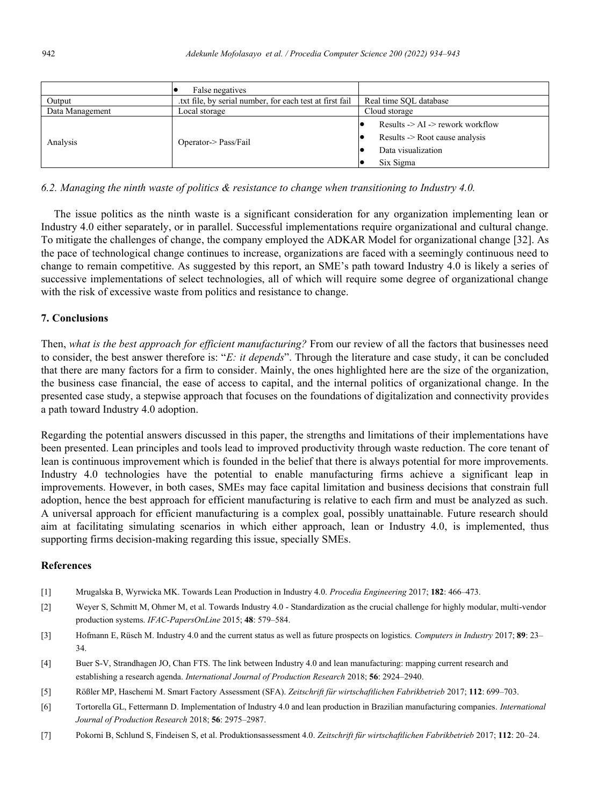|                 | False negatives                                         |                                                                                                               |  |  |  |
|-----------------|---------------------------------------------------------|---------------------------------------------------------------------------------------------------------------|--|--|--|
| Output          | txt file, by serial number, for each test at first fail | Real time SOL database                                                                                        |  |  |  |
| Data Management | Local storage                                           | Cloud storage                                                                                                 |  |  |  |
| Analysis        | Operator-> Pass/Fail                                    | Results $\geq$ AI $\geq$ rework workflow<br>Results -> Root cause analysis<br>Data visualization<br>Six Sigma |  |  |  |

#### *6.2. Managing the ninth waste of politics & resistance to change when transitioning to Industry 4.0.*

The issue politics as the ninth waste is a significant consideration for any organization implementing lean or Industry 4.0 either separately, or in parallel. Successful implementations require organizational and cultural change. To mitigate the challenges of change, the company employed the ADKAR Model for organizational change [32]. As the pace of technological change continues to increase, organizations are faced with a seemingly continuous need to change to remain competitive. As suggested by this report, an SME's path toward Industry 4.0 is likely a series of successive implementations of select technologies, all of which will require some degree of organizational change with the risk of excessive waste from politics and resistance to change.

# **7. Conclusions**

Then, *what is the best approach for efficient manufacturing?* From our review of all the factors that businesses need to consider, the best answer therefore is: "*E: it depends*". Through the literature and case study, it can be concluded that there are many factors for a firm to consider. Mainly, the ones highlighted here are the size of the organization, the business case financial, the ease of access to capital, and the internal politics of organizational change. In the presented case study, a stepwise approach that focuses on the foundations of digitalization and connectivity provides a path toward Industry 4.0 adoption.

Regarding the potential answers discussed in this paper, the strengths and limitations of their implementations have been presented. Lean principles and tools lead to improved productivity through waste reduction. The core tenant of lean is continuous improvement which is founded in the belief that there is always potential for more improvements. Industry 4.0 technologies have the potential to enable manufacturing firms achieve a significant leap in improvements. However, in both cases, SMEs may face capital limitation and business decisions that constrain full adoption, hence the best approach for efficient manufacturing is relative to each firm and must be analyzed as such. A universal approach for efficient manufacturing is a complex goal, possibly unattainable. Future research should aim at facilitating simulating scenarios in which either approach, lean or Industry 4.0, is implemented, thus supporting firms decision-making regarding this issue, specially SMEs.

# **References**

- [1] Mrugalska B, Wyrwicka MK. Towards Lean Production in Industry 4.0. *Procedia Engineering* 2017; **182**: 466–473.
- [2] Weyer S, Schmitt M, Ohmer M, et al. Towards Industry 4.0 Standardization as the crucial challenge for highly modular, multi-vendor production systems. *IFAC-PapersOnLine* 2015; **48**: 579–584.
- [3] Hofmann E, Rüsch M. Industry 4.0 and the current status as well as future prospects on logistics. *Computers in Industry* 2017; **89**: 23– 34.
- [4] Buer S-V, Strandhagen JO, Chan FTS. The link between Industry 4.0 and lean manufacturing: mapping current research and establishing a research agenda. *International Journal of Production Research* 2018; **56**: 2924–2940.
- [5] Rößler MP, Haschemi M. Smart Factory Assessment (SFA). *Zeitschrift für wirtschaftlichen Fabrikbetrieb* 2017; **112**: 699–703.
- [6] Tortorella GL, Fettermann D. Implementation of Industry 4.0 and lean production in Brazilian manufacturing companies. *International Journal of Production Research* 2018; **56**: 2975–2987.
- [7] Pokorni B, Schlund S, Findeisen S, et al. Produktionsassessment 4.0. *Zeitschrift für wirtschaftlichen Fabrikbetrieb* 2017; **112**: 20–24.